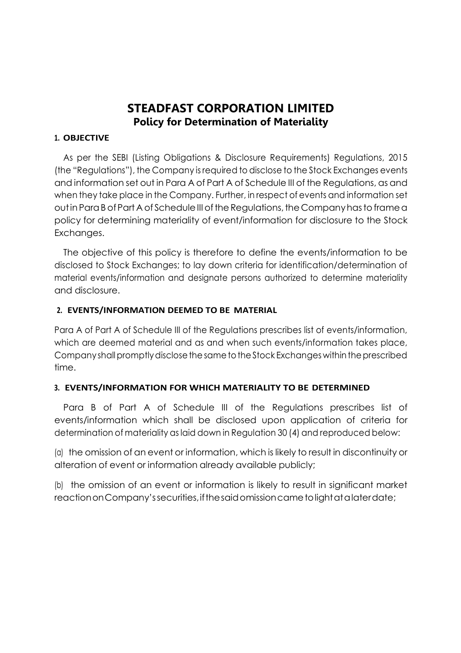# **STEADFAST CORPORATION LIMITED Policy for Determination of Materiality**

#### **1. OBJECTIVE**

As per the SEBI (Listing Obligations & Disclosure Requirements) Regulations, 2015 (the "Regulations"), the Company is required to disclose to the Stock Exchanges events and information set out in Para A of Part A of Schedule III of the Regulations, as and when they take place in the Company. Further, in respect of events and information set out in Para B of Part A of Schedule III of the Regulations, the Company has to frame a policy for determining materiality of event/information for disclosure to the Stock Exchanges.

The objective of this policy is therefore to define the events/information to be disclosed to Stock Exchanges; to lay down criteria for identification/determination of material events/information and designate persons authorized to determine materiality and disclosure.

### **2. EVENTS/INFORMATION DEEMED TO BE MATERIAL**

Para A of Part A of Schedule III of the Regulations prescribes list of events/information, which are deemed material and as and when such events/information takes place, Company shall promptly disclose the same to the Stock Exchanges within the prescribed time.

## **3. EVENTS/INFORMATION FOR WHICH MATERIALITY TO BE DETERMINED**

Para B of Part A of Schedule III of the Regulations prescribes list of events/information which shall be disclosed upon application of criteria for determination of materiality as laid down in Regulation 30 (4) and reproduced below:

(a) the omission of an event or information, which is likely to result in discontinuity or alteration of event or information already available publicly;

(b) the omission of an event or information is likely to result in significant market reaction on Company's securities, if the said omission came to light at a later date;